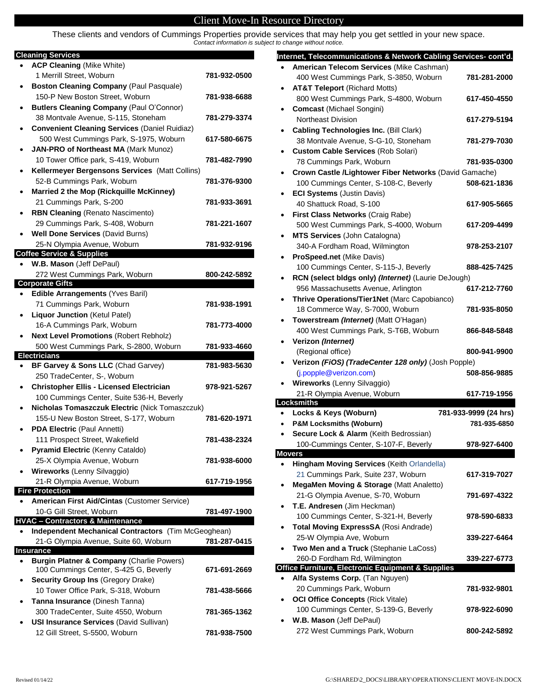## Client Move-In Resource Directory

 $\overline{\phantom{a}}$ 

These clients and vendors of Cummings Properties provide services that may help you get settled in your new space. *Contact information is subject to change without notice.*

## **Cleaning Services**

| ٠ | <b>ACP Cleaning (Mike White)</b>                                                 |              |
|---|----------------------------------------------------------------------------------|--------------|
|   | 1 Merrill Street, Woburn                                                         | 781-932-0500 |
| ٠ | Boston Cleaning Company (Paul Pasquale)                                          |              |
|   | 150-P New Boston Street, Woburn                                                  | 781-938-6688 |
| ٠ | <b>Butlers Cleaning Company (Paul O'Connor)</b>                                  |              |
|   | 38 Montvale Avenue, S-115, Stoneham                                              | 781-279-3374 |
| ٠ | <b>Convenient Cleaning Services (Daniel Ruidiaz)</b>                             |              |
|   | 500 West Cummings Park, S-1975, Woburn                                           | 617-580-6675 |
| ٠ | JAN-PRO of Northeast MA (Mark Munoz)                                             |              |
|   | 10 Tower Office park, S-419, Woburn                                              | 781-482-7990 |
| ٠ | Kellermeyer Bergensons Services (Matt Collins)                                   |              |
|   | 52-B Cummings Park, Woburn                                                       | 781-376-9300 |
| ٠ | Married 2 the Mop (Rickquille McKinney)                                          |              |
|   | 21 Cummings Park, S-200                                                          | 781-933-3691 |
| ٠ | <b>RBN Cleaning (Renato Nascimento)</b>                                          |              |
|   | 29 Cummings Park, S-408, Woburn                                                  | 781-221-1607 |
|   | <b>Well Done Services (David Burns)</b>                                          |              |
|   | 25-N Olympia Avenue, Woburn                                                      | 781-932-9196 |
|   | <b>Coffee Service &amp; Supplies</b>                                             |              |
|   | W.B. Mason (Jeff DePaul)<br>272 West Cummings Park, Woburn                       | 800-242-5892 |
|   | <b>Corporate Gifts</b>                                                           |              |
|   | Edible Arrangements (Yves Baril)                                                 |              |
|   | 71 Cummings Park, Woburn                                                         | 781-938-1991 |
| ٠ | <b>Liquor Junction (Ketul Patel)</b>                                             |              |
|   | 16-A Cummings Park, Woburn                                                       | 781-773-4000 |
|   | <b>Next Level Promotions (Robert Rebholz)</b>                                    |              |
|   | 500 West Cummings Park, S-2800, Woburn                                           | 781-933-4660 |
|   |                                                                                  |              |
|   | <b>Electricians</b>                                                              |              |
|   | BF Garvey & Sons LLC (Chad Garvey)                                               | 781-983-5630 |
|   | 250 TradeCenter, S-, Woburn                                                      |              |
| ٠ | <b>Christopher Ellis - Licensed Electrician</b>                                  | 978-921-5267 |
|   | 100 Cummings Center, Suite 536-H, Beverly                                        |              |
| ٠ | Nicholas Tomaszczuk Electric (Nick Tomaszczuk)                                   |              |
|   | 155-U New Boston Street, S-177, Woburn                                           | 781-620-1971 |
|   | <b>PDA Electric (Paul Annetti)</b>                                               |              |
|   | 111 Prospect Street, Wakefield                                                   | 781-438-2324 |
|   | Pyramid Electric (Kenny Cataldo)                                                 |              |
|   | 25-X Olympia Avenue, Woburn                                                      | 781-938-6000 |
|   | Wireworks (Lenny Silvaggio)                                                      |              |
|   | 21-R Olympia Avenue, Woburn                                                      | 617-719-1956 |
|   | <b>Fire Protection</b>                                                           |              |
|   | American First Aid/Cintas (Customer Service)                                     |              |
|   | 10-G Gill Street, Woburn<br><b>HVAC - Contractors &amp; Maintenance</b>          | 781-497-1900 |
|   | Independent Mechanical Contractors (Tim McGeoghean)                              |              |
|   | 21-G Olympia Avenue, Suite 60, Woburn                                            | 781-287-0415 |
|   | Insurance                                                                        |              |
|   | <b>Burgin Platner &amp; Company (Charlie Powers)</b>                             |              |
|   | 100 Cummings Center, S-425 G, Beverly                                            | 671-691-2669 |
|   | Security Group Ins (Gregory Drake)                                               |              |
|   | 10 Tower Office Park, S-318, Woburn                                              | 781-438-5666 |
|   | Tanna Insurance (Dinesh Tanna)                                                   |              |
|   | 300 TradeCenter, Suite 4550, Woburn                                              | 781-365-1362 |
|   | <b>USI Insurance Services (David Sullivan)</b><br>12 Gill Street, S-5500, Woburn | 781-938-7500 |

| Internet, Telecommunications & Network Cabling Services- cont'd.                  |                       |
|-----------------------------------------------------------------------------------|-----------------------|
| American Telecom Services (Mike Cashman)                                          |                       |
| 400 West Cummings Park, S-3850, Woburn                                            | 781-281-2000          |
| <b>AT&amp;T Teleport (Richard Motts)</b>                                          |                       |
| 800 West Cummings Park, S-4800, Woburn                                            | 617-450-4550          |
| <b>Comcast (Michael Songini)</b>                                                  |                       |
| <b>Northeast Division</b>                                                         | 617-279-5194          |
| Cabling Technologies Inc. (Bill Clark)                                            |                       |
| 38 Montvale Avenue, S-G-10, Stoneham                                              | 781-279-7030          |
| <b>Custom Cable Services (Rob Solari)</b>                                         |                       |
| 78 Cummings Park, Woburn                                                          | 781-935-0300          |
| Crown Castle /Lightower Fiber Networks (David Gamache)                            |                       |
| 100 Cummings Center, S-108-C, Beverly                                             | 508-621-1836          |
| <b>ECI Systems (Justin Davis)</b>                                                 |                       |
| 40 Shattuck Road, S-100                                                           | 617-905-5665          |
| <b>First Class Networks (Craig Rabe)</b>                                          |                       |
| 500 West Cummings Park, S-4000, Woburn                                            | 617-209-4499          |
| <b>MTS Services (John Catalogna)</b>                                              |                       |
| 340-A Fordham Road, Wilmington                                                    | 978-253-2107          |
| ProSpeed.net (Mike Davis)                                                         |                       |
| 100 Cummings Center, S-115-J, Beverly                                             | 888-425-7425          |
| RCN (select bldgs only) (Internet) (Laurie DeJough)                               |                       |
| 956 Massachusetts Avenue, Arlington                                               | 617-212-7760          |
| Thrive Operations/Tier1Net (Marc Capobianco)                                      |                       |
| 18 Commerce Way, S-7000, Woburn                                                   | 781-935-8050          |
| Towerstream (Internet) (Matt O'Hagan)                                             |                       |
| 400 West Cummings Park, S-T6B, Woburn                                             | 866-848-5848          |
| Verizon (Internet)                                                                |                       |
| (Regional office)                                                                 | 800-941-9900          |
| Verizon (FiOS) (TradeCenter 128 only) (Josh Popple)                               |                       |
| (j.popple@verizon.com)                                                            | 508-856-9885          |
| <b>Wireworks (Lenny Silvaggio)</b>                                                |                       |
| 21-R Olympia Avenue, Woburn<br>Locksmiths                                         | 617-719-1956          |
| Locks & Keys (Woburn)                                                             | 781-933-9999 (24 hrs) |
| <b>P&amp;M Locksmiths (Woburn)</b>                                                | 781-935-6850          |
| Secure Lock & Alarm (Keith Bedrossian)                                            |                       |
| 100-Cummings Center, S-107-F, Beverly                                             | 978-927-6400          |
| Movers                                                                            |                       |
| Hingham Moving Services (Keith Orlandella)                                        |                       |
| 21 Cummings Park, Suite 237, Woburn                                               | 617-319-7027          |
| MegaMen Moving & Storage (Matt Analetto)                                          |                       |
| 21-G Olympia Avenue, S-70, Woburn                                                 | 791-697-4322          |
| T.E. Andresen (Jim Heckman)                                                       |                       |
| 100 Cummings Center, S-321-H, Beverly                                             | 978-590-6833          |
| Total Moving ExpressSA (Rosi Andrade)                                             |                       |
| 25-W Olympia Ave, Woburn                                                          | 339-227-6464          |
| Two Men and a Truck (Stephanie LaCoss)                                            |                       |
| 260-D Fordham Rd, Wilmington<br>Office Furniture, Electronic Equipment & Supplies | 339-227-6773          |
| Alfa Systems Corp. (Tan Nguyen)                                                   |                       |
|                                                                                   |                       |
|                                                                                   |                       |
| 20 Cummings Park, Woburn                                                          | 781-932-9801          |
| <b>OCI Office Concepts (Rick Vitale)</b>                                          |                       |
| 100 Cummings Center, S-139-G, Beverly                                             | 978-922-6090          |
| W.B. Mason (Jeff DePaul)<br>272 West Cummings Park, Woburn                        | 800-242-5892          |